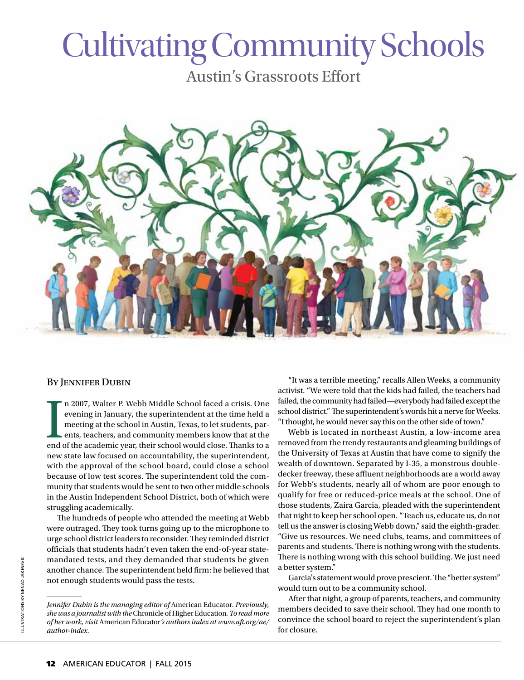# Cultivating Community Schools

Austin's Grassroots Effort



#### BY JENNIFER DUBIN

In 2007, Walter P. Webb Middle School faced a crisis. One evening in January, the superintendent at the time held a meeting at the school in Austin, Texas, to let students, parents, teachers, and community members know tha n 2007, Walter P. Webb Middle School faced a crisis. One evening in January, the superintendent at the time held a meeting at the school in Austin, Texas, to let students, parents, teachers, and community members know that at the new state law focused on accountability, the superintendent, with the approval of the school board, could close a school because of low test scores. The superintendent told the community that students would be sent to two other middle schools in the Austin Independent School District, both of which were struggling academically.

The hundreds of people who attended the meeting at Webb were outraged. They took turns going up to the microphone to urge school district leaders to reconsider. They reminded district officials that students hadn't even taken the end-of-year statemandated tests, and they demanded that students be given another chance. The superintendent held firm: he believed that not enough students would pass the tests.

"It was a terrible meeting," recalls Allen Weeks, a community activist. "We were told that the kids had failed, the teachers had failed, the community had failed—everybody had failed except the school district." The superintendent's words hit a nerve for Weeks. "I thought, he would never say this on the other side of town."

Webb is located in northeast Austin, a low-income area removed from the trendy restaurants and gleaming buildings of the University of Texas at Austin that have come to signify the wealth of downtown. Separated by I-35, a monstrous doubledecker freeway, these affluent neighborhoods are a world away for Webb's students, nearly all of whom are poor enough to qualify for free or reduced-price meals at the school. One of those students, Zaira Garcia, pleaded with the superintendent that night to keep her school open. "Teach us, educate us, do not tell us the answer is closing Webb down," said the eighth-grader. "Give us resources. We need clubs, teams, and committees of parents and students. There is nothing wrong with the students. There is nothing wrong with this school building. We just need a better system."

Garcia's statement would prove prescient. The "better system" would turn out to be a community school.

After that night, a group of parents, teachers, and community members decided to save their school. They had one month to convince the school board to reject the superintendent's plan for closure.

*Jennifer Dubin is the managing editor of* American Educator*. Previously, she was a journalist with the* Chronicle of Higher Education*. To read more of her work, visit* American Educator*'s authors index at www.aft.org/ae/ author-index.*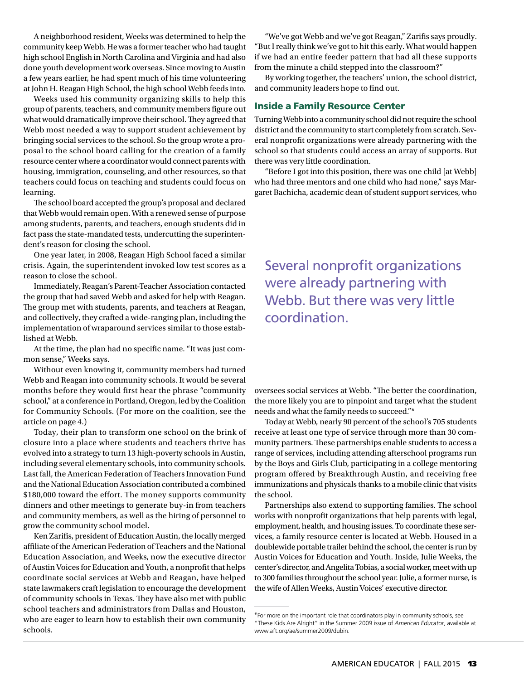A neighborhood resident, Weeks was determined to help the community keep Webb. He was a former teacher who had taught high school English in North Carolina and Virginia and had also done youth development work overseas. Since moving to Austin a few years earlier, he had spent much of his time volunteering at John H. Reagan High School, the high school Webb feeds into.

Weeks used his community organizing skills to help this group of parents, teachers, and community members figure out what would dramatically improve their school. They agreed that Webb most needed a way to support student achievement by bringing social services to the school. So the group wrote a proposal to the school board calling for the creation of a family resource center where a coordinator would connect parents with housing, immigration, counseling, and other resources, so that teachers could focus on teaching and students could focus on learning.

The school board accepted the group's proposal and declared that Webb would remain open. With a renewed sense of purpose among students, parents, and teachers, enough students did in fact pass the state-mandated tests, undercutting the superintendent's reason for closing the school.

One year later, in 2008, Reagan High School faced a similar crisis. Again, the superintendent invoked low test scores as a reason to close the school.

Immediately, Reagan's Parent-Teacher Association contacted the group that had saved Webb and asked for help with Reagan. The group met with students, parents, and teachers at Reagan, and collectively, they crafted a wide-ranging plan, including the implementation of wraparound services similar to those established at Webb.

At the time, the plan had no specific name. "It was just common sense," Weeks says.

Without even knowing it, community members had turned Webb and Reagan into community schools. It would be several months before they would first hear the phrase "community school," at a conference in Portland, Oregon, led by the Coalition for Community Schools. (For more on the coalition, see the article on page 4.)

Today, their plan to transform one school on the brink of closure into a place where students and teachers thrive has evolved into a strategy to turn 13 high-poverty schools in Austin, including several elementary schools, into community schools. Last fall, the American Federation of Teachers Innovation Fund and the National Education Association contributed a combined \$180,000 toward the effort. The money supports community dinners and other meetings to generate buy-in from teachers and community members, as well as the hiring of personnel to grow the community school model.

Ken Zarifis, president of Education Austin, the locally merged affiliate of the American Federation of Teachers and the National Education Association, and Weeks, now the executive director of Austin Voices for Education and Youth, a nonprofit that helps coordinate social services at Webb and Reagan, have helped state lawmakers craft legislation to encourage the development of community schools in Texas. They have also met with public school teachers and administrators from Dallas and Houston, who are eager to learn how to establish their own community schools.

"We've got Webb and we've got Reagan," Zarifis says proudly. "But I really think we've got to hit this early. What would happen if we had an entire feeder pattern that had all these supports from the minute a child stepped into the classroom?"

By working together, the teachers' union, the school district, and community leaders hope to find out.

#### Inside a Family Resource Center

Turning Webb into a community school did not require the school district and the community to start completely from scratch. Several nonprofit organizations were already partnering with the school so that students could access an array of supports. But there was very little coordination.

"Before I got into this position, there was one child [at Webb] who had three mentors and one child who had none," says Margaret Bachicha, academic dean of student support services, who

Several nonprofit organizations were already partnering with Webb. But there was very little coordination.

oversees social services at Webb. "The better the coordination, the more likely you are to pinpoint and target what the student needs and what the family needs to succeed."\*

Today at Webb, nearly 90 percent of the school's 705 students receive at least one type of service through more than 30 community partners. These partnerships enable students to access a range of services, including attending afterschool programs run by the Boys and Girls Club, participating in a college mentoring program offered by Breakthrough Austin, and receiving free immunizations and physicals thanks to a mobile clinic that visits the school.

Partnerships also extend to supporting families. The school works with nonprofit organizations that help parents with legal, employment, health, and housing issues. To coordinate these services, a family resource center is located at Webb. Housed in a doublewide portable trailer behind the school, the center is run by Austin Voices for Education and Youth. Inside, Julie Weeks, the center's director, and Angelita Tobias, a social worker, meet with up to 300 families throughout the school year. Julie, a former nurse, is the wife of Allen Weeks, Austin Voices' executive director.

<sup>\*</sup>For more on the important role that coordinators play in community schools, see "These Kids Are Alright" in the Summer 2009 issue of *American Educator*, available at www.aft.org/ae/summer2009/dubin.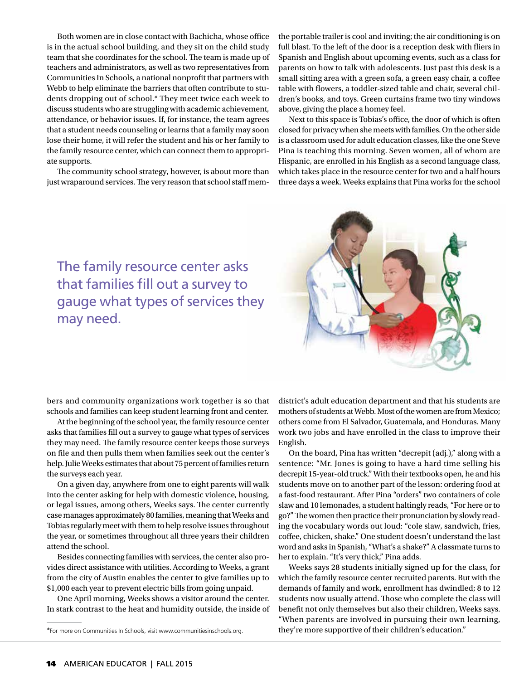Both women are in close contact with Bachicha, whose office is in the actual school building, and they sit on the child study team that she coordinates for the school. The team is made up of teachers and administrators, as well as two representatives from Communities In Schools, a national nonprofit that partners with Webb to help eliminate the barriers that often contribute to students dropping out of school.\* They meet twice each week to discuss students who are struggling with academic achievement, attendance, or behavior issues. If, for instance, the team agrees that a student needs counseling or learns that a family may soon lose their home, it will refer the student and his or her family to the family resource center, which can connect them to appropriate supports.

The community school strategy, however, is about more than just wraparound services. The very reason that school staff mem-

the portable trailer is cool and inviting; the air conditioning is on full blast. To the left of the door is a reception desk with fliers in Spanish and English about upcoming events, such as a class for parents on how to talk with adolescents. Just past this desk is a small sitting area with a green sofa, a green easy chair, a coffee table with flowers, a toddler-sized table and chair, several children's books, and toys. Green curtains frame two tiny windows above, giving the place a homey feel.

Next to this space is Tobias's office, the door of which is often closed for privacy when she meets with families. On the other side is a classroom used for adult education classes, like the one Steve Pina is teaching this morning. Seven women, all of whom are Hispanic, are enrolled in his English as a second language class, which takes place in the resource center for two and a half hours three days a week. Weeks explains that Pina works for the school



The family resource center asks that families fill out a survey to gauge what types of services they may need.

bers and community organizations work together is so that schools and families can keep student learning front and center.

At the beginning of the school year, the family resource center asks that families fill out a survey to gauge what types of services they may need. The family resource center keeps those surveys on file and then pulls them when families seek out the center's help. Julie Weeks estimates that about 75 percent of families return the surveys each year.

On a given day, anywhere from one to eight parents will walk into the center asking for help with domestic violence, housing, or legal issues, among others, Weeks says. The center currently case manages approximately 80 families, meaning that Weeks and Tobias regularly meet with them to help resolve issues throughout the year, or sometimes throughout all three years their children attend the school.

Besides connecting families with services, the center also provides direct assistance with utilities. According to Weeks, a grant from the city of Austin enables the center to give families up to \$1,000 each year to prevent electric bills from going unpaid.

One April morning, Weeks shows a visitor around the center. In stark contrast to the heat and humidity outside, the inside of district's adult education department and that his students are mothers of students at Webb. Most of the women are from Mexico; others come from El Salvador, Guatemala, and Honduras. Many work two jobs and have enrolled in the class to improve their English.

On the board, Pina has written "decrepit (adj.)," along with a sentence: "Mr. Jones is going to have a hard time selling his decrepit 15-year-old truck." With their textbooks open, he and his students move on to another part of the lesson: ordering food at a fast-food restaurant. After Pina "orders" two containers of cole slaw and 10 lemonades, a student haltingly reads, "For here or to go?" The women then practice their pronunciation by slowly reading the vocabulary words out loud: "cole slaw, sandwich, fries, coffee, chicken, shake." One student doesn't understand the last word and asks in Spanish, "What's a shake?" A classmate turns to her to explain. "It's very thick," Pina adds.

Weeks says 28 students initially signed up for the class, for which the family resource center recruited parents. But with the demands of family and work, enrollment has dwindled; 8 to 12 students now usually attend. Those who complete the class will benefit not only themselves but also their children, Weeks says. "When parents are involved in pursuing their own learning, they're more supportive of their children's education."

<sup>\*</sup>For more on Communities In Schools, visit www.communitiesinschools.org.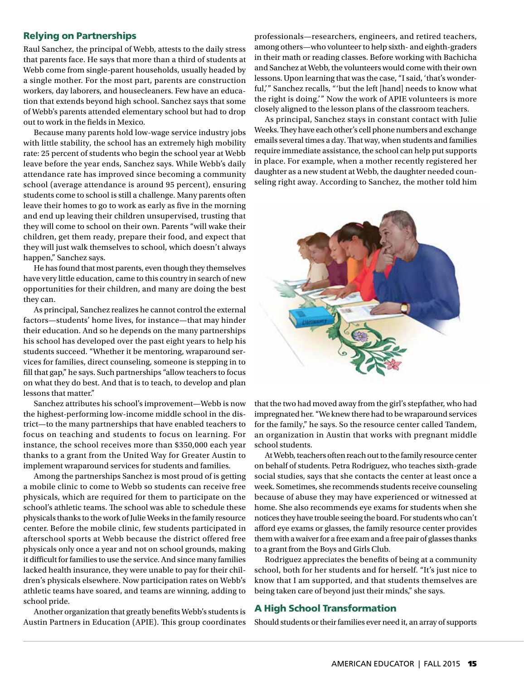#### Relying on Partnerships

Raul Sanchez, the principal of Webb, attests to the daily stress that parents face. He says that more than a third of students at Webb come from single-parent households, usually headed by a single mother. For the most part, parents are construction workers, day laborers, and housecleaners. Few have an education that extends beyond high school. Sanchez says that some of Webb's parents attended elementary school but had to drop out to work in the fields in Mexico.

Because many parents hold low-wage service industry jobs with little stability, the school has an extremely high mobility rate: 25 percent of students who begin the school year at Webb leave before the year ends, Sanchez says. While Webb's daily attendance rate has improved since becoming a community school (average attendance is around 95 percent), ensuring students come to school is still a challenge. Many parents often leave their homes to go to work as early as five in the morning and end up leaving their children unsupervised, trusting that they will come to school on their own. Parents "will wake their children, get them ready, prepare their food, and expect that they will just walk themselves to school, which doesn't always happen," Sanchez says.

He has found that most parents, even though they themselves have very little education, came to this country in search of new opportunities for their children, and many are doing the best they can.

As principal, Sanchez realizes he cannot control the external factors—students' home lives, for instance—that may hinder their education. And so he depends on the many partnerships his school has developed over the past eight years to help his students succeed. "Whether it be mentoring, wraparound services for families, direct counseling, someone is stepping in to fill that gap," he says. Such partnerships "allow teachers to focus on what they do best. And that is to teach, to develop and plan lessons that matter."

Sanchez attributes his school's improvement—Webb is now the highest-performing low-income middle school in the district—to the many partnerships that have enabled teachers to focus on teaching and students to focus on learning. For instance, the school receives more than \$350,000 each year thanks to a grant from the United Way for Greater Austin to implement wraparound services for students and families.

Among the partnerships Sanchez is most proud of is getting a mobile clinic to come to Webb so students can receive free physicals, which are required for them to participate on the school's athletic teams. The school was able to schedule these physicals thanks to the work of Julie Weeks in the family resource center. Before the mobile clinic, few students participated in afterschool sports at Webb because the district offered free physicals only once a year and not on school grounds, making it difficult for families to use the service. And since many families lacked health insurance, they were unable to pay for their children's physicals elsewhere. Now participation rates on Webb's athletic teams have soared, and teams are winning, adding to school pride.

Another organization that greatly benefits Webb's students is Austin Partners in Education (APIE). This group coordinates professionals—researchers, engineers, and retired teachers, among others—who volunteer to help sixth- and eighth-graders in their math or reading classes. Before working with Bachicha and Sanchez at Webb, the volunteers would come with their own lessons. Upon learning that was the case, "I said, 'that's wonderful,'" Sanchez recalls, "'but the left [hand] needs to know what the right is doing.'" Now the work of APIE volunteers is more closely aligned to the lesson plans of the classroom teachers.

As principal, Sanchez stays in constant contact with Julie Weeks. They have each other's cell phone numbers and exchange emails several times a day. That way, when students and families require immediate assistance, the school can help put supports in place. For example, when a mother recently registered her daughter as a new student at Webb, the daughter needed counseling right away. According to Sanchez, the mother told him



that the two had moved away from the girl's stepfather, who had impregnated her. "We knew there had to be wraparound services for the family," he says. So the resource center called Tandem, an organization in Austin that works with pregnant middle school students.

At Webb, teachers often reach out to the family resource center on behalf of students. Petra Rodriguez, who teaches sixth-grade social studies, says that she contacts the center at least once a week. Sometimes, she recommends students receive counseling because of abuse they may have experienced or witnessed at home. She also recommends eye exams for students when she notices they have trouble seeing the board. For students who can't afford eye exams or glasses, the family resource center provides them with a waiver for a free exam and a free pair of glasses thanks to a grant from the Boys and Girls Club.

Rodriguez appreciates the benefits of being at a community school, both for her students and for herself. "It's just nice to know that I am supported, and that students themselves are being taken care of beyond just their minds," she says.

### A High School Transformation

Should students or their families ever need it, an array of supports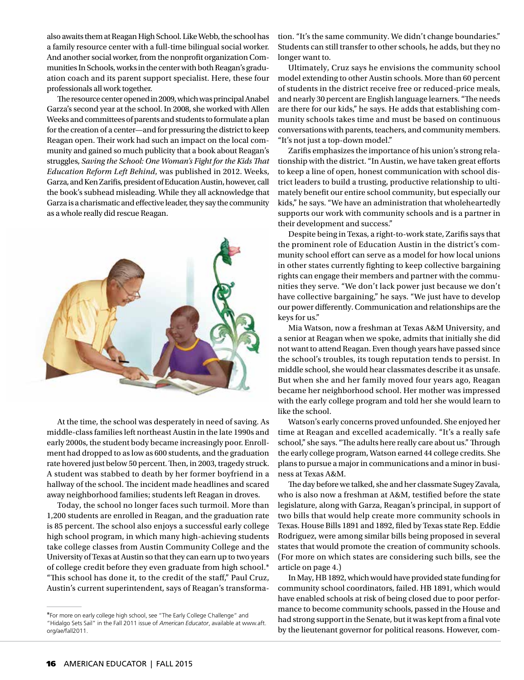also awaits them at Reagan High School. Like Webb, the school has a family resource center with a full-time bilingual social worker. And another social worker, from the nonprofit organization Communities In Schools, works in the center with both Reagan's graduation coach and its parent support specialist. Here, these four professionals all work together.

The resource center opened in 2009, which was principal Anabel Garza's second year at the school. In 2008, she worked with Allen Weeks and committees of parents and students to formulate a plan for the creation of a center—and for pressuring the district to keep Reagan open. Their work had such an impact on the local community and gained so much publicity that a book about Reagan's struggles, *Saving the School: One Woman's Fight for the Kids That Education Reform Left Behind*, was published in 2012. Weeks, Garza, and Ken Zarifis, president of Education Austin, however, call the book's subhead misleading. While they all acknowledge that Garza is a charismatic and effective leader, they say the community as a whole really did rescue Reagan.



At the time, the school was desperately in need of saving. As middle-class families left northeast Austin in the late 1990s and early 2000s, the student body became increasingly poor. Enrollment had dropped to as low as 600 students, and the graduation rate hovered just below 50 percent. Then, in 2003, tragedy struck. A student was stabbed to death by her former boyfriend in a hallway of the school. The incident made headlines and scared away neighborhood families; students left Reagan in droves.

Today, the school no longer faces such turmoil. More than 1,200 students are enrolled in Reagan, and the graduation rate is 85 percent. The school also enjoys a successful early college high school program, in which many high-achieving students take college classes from Austin Community College and the University of Texas at Austin so that they can earn up to two years of college credit before they even graduate from high school.\* "This school has done it, to the credit of the staff," Paul Cruz, Austin's current superintendent, says of Reagan's transformation. "It's the same community. We didn't change boundaries." Students can still transfer to other schools, he adds, but they no longer want to.

Ultimately, Cruz says he envisions the community school model extending to other Austin schools. More than 60 percent of students in the district receive free or reduced-price meals, and nearly 30 percent are English language learners. "The needs are there for our kids," he says. He adds that establishing community schools takes time and must be based on continuous conversations with parents, teachers, and community members. "It's not just a top-down model."

Zarifis emphasizes the importance of his union's strong relationship with the district. "In Austin, we have taken great efforts to keep a line of open, honest communication with school district leaders to build a trusting, productive relationship to ultimately benefit our entire school community, but especially our kids," he says. "We have an administration that wholeheartedly supports our work with community schools and is a partner in their development and success."

Despite being in Texas, a right-to-work state, Zarifis says that the prominent role of Education Austin in the district's community school effort can serve as a model for how local unions in other states currently fighting to keep collective bargaining rights can engage their members and partner with the communities they serve. "We don't lack power just because we don't have collective bargaining," he says. "We just have to develop our power differently. Communication and relationships are the keys for us."

Mia Watson, now a freshman at Texas A&M University, and a senior at Reagan when we spoke, admits that initially she did not want to attend Reagan. Even though years have passed since the school's troubles, its tough reputation tends to persist. In middle school, she would hear classmates describe it as unsafe. But when she and her family moved four years ago, Reagan became her neighborhood school. Her mother was impressed with the early college program and told her she would learn to like the school.

Watson's early concerns proved unfounded. She enjoyed her time at Reagan and excelled academically. "It's a really safe school," she says. "The adults here really care about us." Through the early college program, Watson earned 44 college credits. She plans to pursue a major in communications and a minor in business at Texas A&M.

The day before we talked, she and her classmate Sugey Zavala, who is also now a freshman at A&M, testified before the state legislature, along with Garza, Reagan's principal, in support of two bills that would help create more community schools in Texas. House Bills 1891 and 1892, filed by Texas state Rep. Eddie Rodriguez, were among similar bills being proposed in several states that would promote the creation of community schools. (For more on which states are considering such bills, see the article on page 4.)

In May, HB 1892, which would have provided state funding for community school coordinators, failed. HB 1891, which would have enabled schools at risk of being closed due to poor performance to become community schools, passed in the House and had strong support in the Senate, but it was kept from a final vote by the lieutenant governor for political reasons. However, com-

<sup>\*</sup>For more on early college high school, see "The Early College Challenge" and "Hidalgo Sets Sail" in the Fall 2011 issue of *American Educator*, available at [www.aft.](www.aft.org/ae/fall2011) [org/ae/fall2011.](www.aft.org/ae/fall2011)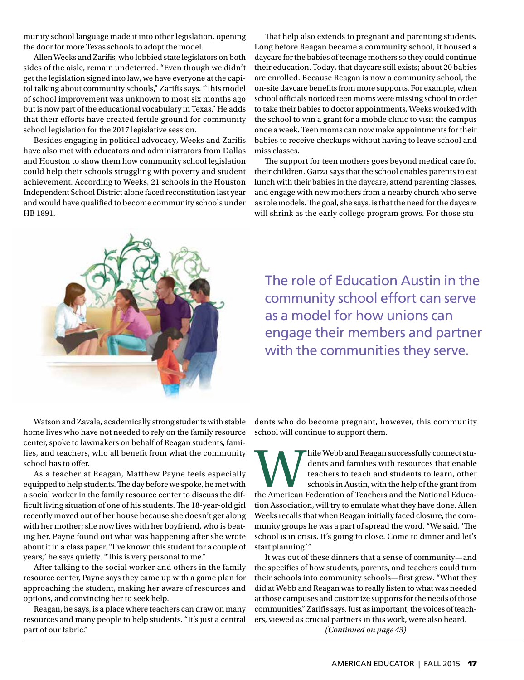munity school language made it into other legislation, opening the door for more Texas schools to adopt the model.

Allen Weeks and Zarifis, who lobbied state legislators on both sides of the aisle, remain undeterred. "Even though we didn't get the legislation signed into law, we have everyone at the capitol talking about community schools," Zarifis says. "This model of school improvement was unknown to most six months ago but is now part of the educational vocabulary in Texas." He adds that their efforts have created fertile ground for community school legislation for the 2017 legislative session.

Besides engaging in political advocacy, Weeks and Zarifis have also met with educators and administrators from Dallas and Houston to show them how community school legislation could help their schools struggling with poverty and student achievement. According to Weeks, 21 schools in the Houston Independent School District alone faced reconstitution last year and would have qualified to become community schools under HB 1891.

That help also extends to pregnant and parenting students. Long before Reagan became a community school, it housed a daycare for the babies of teenage mothers so they could continue their education. Today, that daycare still exists; about 20 babies are enrolled. Because Reagan is now a community school, the on-site daycare benefits from more supports. For example, when school officials noticed teen moms were missing school in order to take their babies to doctor appointments, Weeks worked with the school to win a grant for a mobile clinic to visit the campus once a week. Teen moms can now make appointments for their babies to receive checkups without having to leave school and miss classes.

The support for teen mothers goes beyond medical care for their children. Garza says that the school enables parents to eat lunch with their babies in the daycare, attend parenting classes, and engage with new mothers from a nearby church who serve as role models. The goal, she says, is that the need for the daycare will shrink as the early college program grows. For those stu-



The role of Education Austin in the community school effort can serve as a model for how unions can engage their members and partner with the communities they serve.

Watson and Zavala, academically strong students with stable home lives who have not needed to rely on the family resource center, spoke to lawmakers on behalf of Reagan students, families, and teachers, who all benefit from what the community school has to offer.

As a teacher at Reagan, Matthew Payne feels especially equipped to help students. The day before we spoke, he met with a social worker in the family resource center to discuss the difficult living situation of one of his students. The 18-year-old girl recently moved out of her house because she doesn't get along with her mother; she now lives with her boyfriend, who is beating her. Payne found out what was happening after she wrote about it in a class paper. "I've known this student for a couple of years," he says quietly. "This is very personal to me."

After talking to the social worker and others in the family resource center, Payne says they came up with a game plan for approaching the student, making her aware of resources and options, and convincing her to seek help.

Reagan, he says, is a place where teachers can draw on many resources and many people to help students. "It's just a central part of our fabric."

dents who do become pregnant, however, this community school will continue to support them.

hile Webb and Reagan successfully connect students and families with resources that enable teachers to teach and students to learn, other schools in Austin, with the help of the grant from the American Federation of Teache dents and families with resources that enable teachers to teach and students to learn, other schools in Austin, with the help of the grant from tion Association, will try to emulate what they have done. Allen Weeks recalls that when Reagan initially faced closure, the community groups he was a part of spread the word. "We said, 'The school is in crisis. It's going to close. Come to dinner and let's start planning.'"

*(Continued on page 43)* It was out of these dinners that a sense of community—and the specifics of how students, parents, and teachers could turn their schools into community schools—first grew. "What they did at Webb and Reagan was to really listen to what was needed at those campuses and customize supports for the needs of those communities," Zarifis says. Just as important, the voices of teachers, viewed as crucial partners in this work, were also heard.